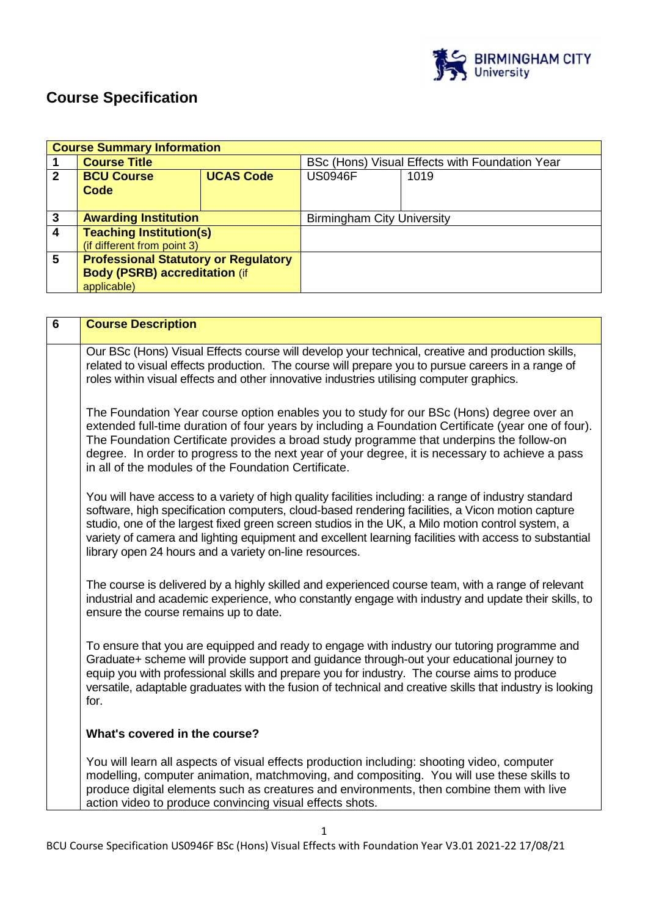

# **Course Specification**

|              | <b>Course Summary Information</b>           |                  |                                                |      |
|--------------|---------------------------------------------|------------------|------------------------------------------------|------|
|              | <b>Course Title</b>                         |                  | BSc (Hons) Visual Effects with Foundation Year |      |
| $\mathbf{2}$ | <b>BCU Course</b>                           | <b>UCAS Code</b> | <b>US0946F</b>                                 | 1019 |
|              | Code                                        |                  |                                                |      |
|              |                                             |                  |                                                |      |
| 3            | <b>Awarding Institution</b>                 |                  | <b>Birmingham City University</b>              |      |
| 4            | <b>Teaching Institution(s)</b>              |                  |                                                |      |
|              | (if different from point 3)                 |                  |                                                |      |
| 5            | <b>Professional Statutory or Regulatory</b> |                  |                                                |      |
|              | <b>Body (PSRB) accreditation (if</b>        |                  |                                                |      |
|              | applicable)                                 |                  |                                                |      |

| $6\phantom{1}$ | <b>Course Description</b>                                                                                                                                                                                                                                                                                                                                                                                                                                                       |  |  |  |
|----------------|---------------------------------------------------------------------------------------------------------------------------------------------------------------------------------------------------------------------------------------------------------------------------------------------------------------------------------------------------------------------------------------------------------------------------------------------------------------------------------|--|--|--|
|                | Our BSc (Hons) Visual Effects course will develop your technical, creative and production skills,<br>related to visual effects production. The course will prepare you to pursue careers in a range of<br>roles within visual effects and other innovative industries utilising computer graphics.                                                                                                                                                                              |  |  |  |
|                | The Foundation Year course option enables you to study for our BSc (Hons) degree over an<br>extended full-time duration of four years by including a Foundation Certificate (year one of four).<br>The Foundation Certificate provides a broad study programme that underpins the follow-on<br>degree. In order to progress to the next year of your degree, it is necessary to achieve a pass<br>in all of the modules of the Foundation Certificate.                          |  |  |  |
|                | You will have access to a variety of high quality facilities including: a range of industry standard<br>software, high specification computers, cloud-based rendering facilities, a Vicon motion capture<br>studio, one of the largest fixed green screen studios in the UK, a Milo motion control system, a<br>variety of camera and lighting equipment and excellent learning facilities with access to substantial<br>library open 24 hours and a variety on-line resources. |  |  |  |
|                | The course is delivered by a highly skilled and experienced course team, with a range of relevant<br>industrial and academic experience, who constantly engage with industry and update their skills, to<br>ensure the course remains up to date.                                                                                                                                                                                                                               |  |  |  |
|                | To ensure that you are equipped and ready to engage with industry our tutoring programme and<br>Graduate+ scheme will provide support and guidance through-out your educational journey to<br>equip you with professional skills and prepare you for industry. The course aims to produce<br>versatile, adaptable graduates with the fusion of technical and creative skills that industry is looking<br>for.                                                                   |  |  |  |
|                | What's covered in the course?                                                                                                                                                                                                                                                                                                                                                                                                                                                   |  |  |  |
|                | You will learn all aspects of visual effects production including: shooting video, computer<br>modelling, computer animation, matchmoving, and compositing. You will use these skills to<br>produce digital elements such as creatures and environments, then combine them with live<br>action video to produce convincing visual effects shots.                                                                                                                                |  |  |  |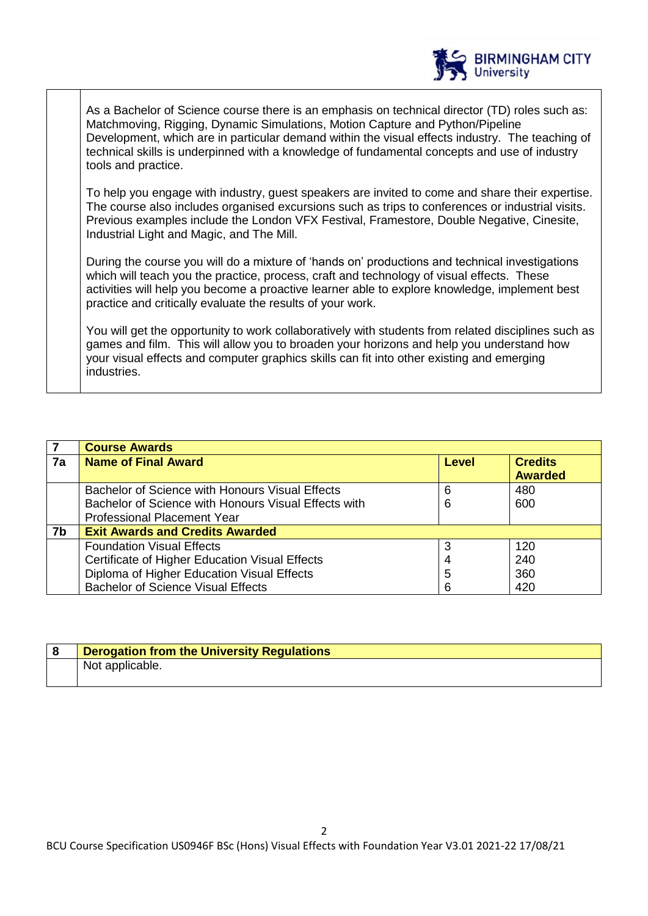

As a Bachelor of Science course there is an emphasis on technical director (TD) roles such as: Matchmoving, Rigging, Dynamic Simulations, Motion Capture and Python/Pipeline Development, which are in particular demand within the visual effects industry. The teaching of technical skills is underpinned with a knowledge of fundamental concepts and use of industry tools and practice.

To help you engage with industry, guest speakers are invited to come and share their expertise. The course also includes organised excursions such as trips to conferences or industrial visits. Previous examples include the London VFX Festival, Framestore, Double Negative, Cinesite, Industrial Light and Magic, and The Mill.

During the course you will do a mixture of 'hands on' productions and technical investigations which will teach you the practice, process, craft and technology of visual effects. These activities will help you become a proactive learner able to explore knowledge, implement best practice and critically evaluate the results of your work.

You will get the opportunity to work collaboratively with students from related disciplines such as games and film. This will allow you to broaden your horizons and help you understand how your visual effects and computer graphics skills can fit into other existing and emerging industries.

| 7  | <b>Course Awards</b>                                 |       |                                  |  |
|----|------------------------------------------------------|-------|----------------------------------|--|
| 7a | <b>Name of Final Award</b>                           | Level | <b>Credits</b><br><b>Awarded</b> |  |
|    | Bachelor of Science with Honours Visual Effects      | 6     | 480                              |  |
|    | Bachelor of Science with Honours Visual Effects with | 6     | 600                              |  |
|    | <b>Professional Placement Year</b>                   |       |                                  |  |
| 7b | <b>Exit Awards and Credits Awarded</b>               |       |                                  |  |
|    | <b>Foundation Visual Effects</b>                     | 3     | 120                              |  |
|    | Certificate of Higher Education Visual Effects       |       | 240                              |  |
|    | Diploma of Higher Education Visual Effects           | 5     | 360                              |  |
|    | <b>Bachelor of Science Visual Effects</b>            |       | 420                              |  |

| <b>Derogation from the University Regulations</b> |
|---------------------------------------------------|
| Not applicable.                                   |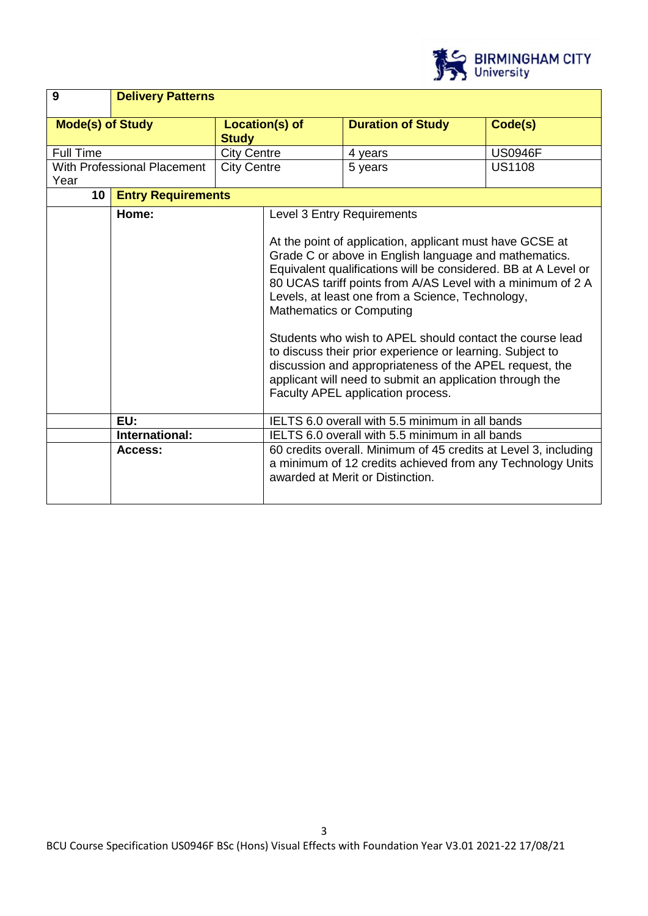

| 9                       | <b>Delivery Patterns</b>           |                                                                                                                                                                   |                                                                                                                                                                                                                                                                                                                                                                                                                                                                                                                                                                                                                                                              |                          |                |
|-------------------------|------------------------------------|-------------------------------------------------------------------------------------------------------------------------------------------------------------------|--------------------------------------------------------------------------------------------------------------------------------------------------------------------------------------------------------------------------------------------------------------------------------------------------------------------------------------------------------------------------------------------------------------------------------------------------------------------------------------------------------------------------------------------------------------------------------------------------------------------------------------------------------------|--------------------------|----------------|
| <b>Mode(s) of Study</b> |                                    | <b>Study</b>                                                                                                                                                      | Location(s) of                                                                                                                                                                                                                                                                                                                                                                                                                                                                                                                                                                                                                                               | <b>Duration of Study</b> | Code(s)        |
| <b>Full Time</b>        |                                    | <b>City Centre</b>                                                                                                                                                |                                                                                                                                                                                                                                                                                                                                                                                                                                                                                                                                                                                                                                                              | 4 years                  | <b>US0946F</b> |
| Year                    | <b>With Professional Placement</b> | <b>City Centre</b>                                                                                                                                                |                                                                                                                                                                                                                                                                                                                                                                                                                                                                                                                                                                                                                                                              | 5 years                  | <b>US1108</b>  |
| 10 <sup>°</sup>         | <b>Entry Requirements</b>          |                                                                                                                                                                   |                                                                                                                                                                                                                                                                                                                                                                                                                                                                                                                                                                                                                                                              |                          |                |
|                         | Home:                              |                                                                                                                                                                   | Level 3 Entry Requirements<br>At the point of application, applicant must have GCSE at<br>Grade C or above in English language and mathematics.<br>Equivalent qualifications will be considered. BB at A Level or<br>80 UCAS tariff points from A/AS Level with a minimum of 2 A<br>Levels, at least one from a Science, Technology,<br><b>Mathematics or Computing</b><br>Students who wish to APEL should contact the course lead<br>to discuss their prior experience or learning. Subject to<br>discussion and appropriateness of the APEL request, the<br>applicant will need to submit an application through the<br>Faculty APEL application process. |                          |                |
| EU:                     |                                    | IELTS 6.0 overall with 5.5 minimum in all bands                                                                                                                   |                                                                                                                                                                                                                                                                                                                                                                                                                                                                                                                                                                                                                                                              |                          |                |
| International:          |                                    | IELTS 6.0 overall with 5.5 minimum in all bands                                                                                                                   |                                                                                                                                                                                                                                                                                                                                                                                                                                                                                                                                                                                                                                                              |                          |                |
| Access:                 |                                    | 60 credits overall. Minimum of 45 credits at Level 3, including<br>a minimum of 12 credits achieved from any Technology Units<br>awarded at Merit or Distinction. |                                                                                                                                                                                                                                                                                                                                                                                                                                                                                                                                                                                                                                                              |                          |                |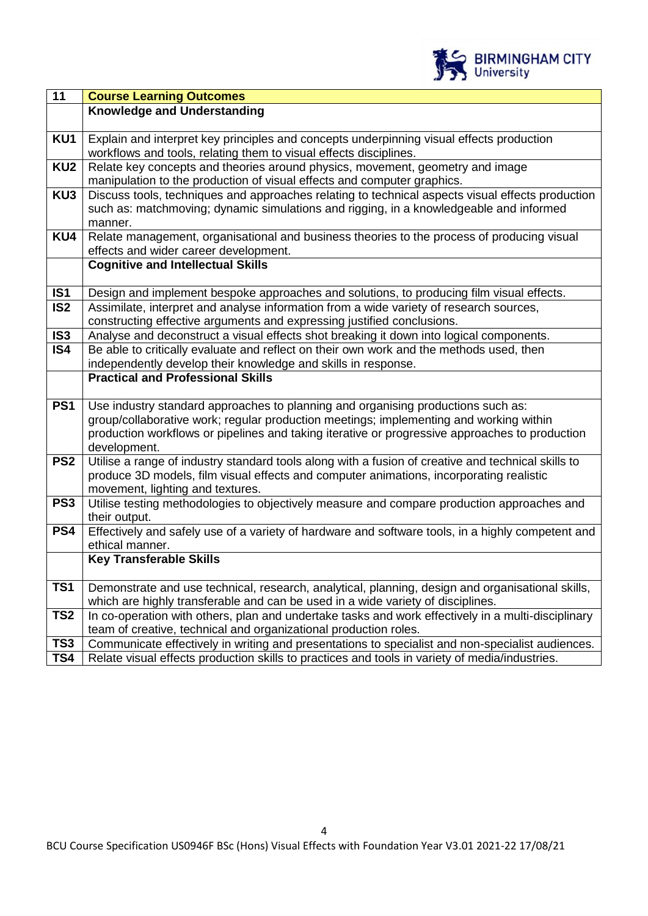

| 11              | <b>Course Learning Outcomes</b>                                                                                                |
|-----------------|--------------------------------------------------------------------------------------------------------------------------------|
|                 | <b>Knowledge and Understanding</b>                                                                                             |
|                 |                                                                                                                                |
| KU1             | Explain and interpret key principles and concepts underpinning visual effects production                                       |
|                 | workflows and tools, relating them to visual effects disciplines.                                                              |
| KU <sub>2</sub> | Relate key concepts and theories around physics, movement, geometry and image                                                  |
|                 | manipulation to the production of visual effects and computer graphics.                                                        |
| KU3             | Discuss tools, techniques and approaches relating to technical aspects visual effects production                               |
|                 | such as: matchmoving; dynamic simulations and rigging, in a knowledgeable and informed                                         |
|                 | manner.                                                                                                                        |
| KU4             | Relate management, organisational and business theories to the process of producing visual                                     |
|                 | effects and wider career development.<br><b>Cognitive and Intellectual Skills</b>                                              |
|                 |                                                                                                                                |
| IS <sub>1</sub> | Design and implement bespoke approaches and solutions, to producing film visual effects.                                       |
| IS <sub>2</sub> | Assimilate, interpret and analyse information from a wide variety of research sources,                                         |
|                 | constructing effective arguments and expressing justified conclusions.                                                         |
| IS <sub>3</sub> | Analyse and deconstruct a visual effects shot breaking it down into logical components.                                        |
| IS4             | Be able to critically evaluate and reflect on their own work and the methods used, then                                        |
|                 | independently develop their knowledge and skills in response.                                                                  |
|                 | <b>Practical and Professional Skills</b>                                                                                       |
|                 |                                                                                                                                |
| PS <sub>1</sub> | Use industry standard approaches to planning and organising productions such as:                                               |
|                 | group/collaborative work; regular production meetings; implementing and working within                                         |
|                 | production workflows or pipelines and taking iterative or progressive approaches to production                                 |
|                 | development.                                                                                                                   |
| PS <sub>2</sub> | Utilise a range of industry standard tools along with a fusion of creative and technical skills to                             |
|                 | produce 3D models, film visual effects and computer animations, incorporating realistic                                        |
| PS <sub>3</sub> | movement, lighting and textures.<br>Utilise testing methodologies to objectively measure and compare production approaches and |
|                 | their output.                                                                                                                  |
| PS4             | Effectively and safely use of a variety of hardware and software tools, in a highly competent and                              |
|                 | ethical manner.                                                                                                                |
|                 | <b>Key Transferable Skills</b>                                                                                                 |
|                 |                                                                                                                                |
| TS1             | Demonstrate and use technical, research, analytical, planning, design and organisational skills,                               |
|                 | which are highly transferable and can be used in a wide variety of disciplines.                                                |
| TS <sub>2</sub> | In co-operation with others, plan and undertake tasks and work effectively in a multi-disciplinary                             |
|                 | team of creative, technical and organizational production roles.                                                               |
| TS <sub>3</sub> | Communicate effectively in writing and presentations to specialist and non-specialist audiences.                               |
| TS4             | Relate visual effects production skills to practices and tools in variety of media/industries.                                 |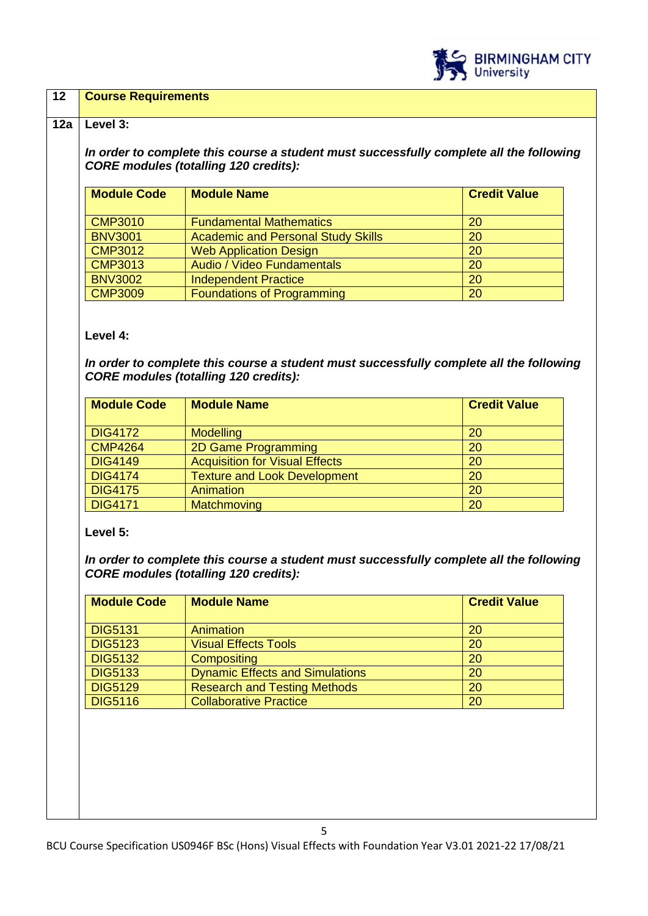

## **12 Course Requirements**

#### **12a Level 3:**

*In order to complete this course a student must successfully complete all the following CORE modules (totalling 120 credits):*

| <b>Module Code</b> | <b>Module Name</b>                        | <b>Credit Value</b> |
|--------------------|-------------------------------------------|---------------------|
| <b>CMP3010</b>     | <b>Fundamental Mathematics</b>            | 20                  |
| <b>BNV3001</b>     | <b>Academic and Personal Study Skills</b> | 20                  |
| <b>CMP3012</b>     | <b>Web Application Design</b>             | 20                  |
| <b>CMP3013</b>     | Audio / Video Fundamentals                | 20                  |
| <b>BNV3002</b>     | <b>Independent Practice</b>               | 20                  |
| <b>CMP3009</b>     | Foundations of Programming                | 20                  |

## **Level 4:**

*In order to complete this course a student must successfully complete all the following CORE modules (totalling 120 credits):*

| <b>Module Code</b> | <b>Module Name</b>                    | <b>Credit Value</b> |
|--------------------|---------------------------------------|---------------------|
| <b>DIG4172</b>     | <b>Modelling</b>                      | 20                  |
| <b>CMP4264</b>     | <b>2D Game Programming</b>            | <b>20</b>           |
| <b>DIG4149</b>     | <b>Acquisition for Visual Effects</b> | <b>20</b>           |
| <b>DIG4174</b>     | <b>Texture and Look Development</b>   | 20                  |
| <b>DIG4175</b>     | Animation                             | 20                  |
| <b>DIG4171</b>     | Matchmoving                           | 20                  |

## **Level 5:**

*In order to complete this course a student must successfully complete all the following CORE modules (totalling 120 credits):*

| <b>Module Code</b> | <b>Module Name</b>                     | <b>Credit Value</b> |
|--------------------|----------------------------------------|---------------------|
| <b>DIG5131</b>     | Animation                              | 20                  |
| <b>DIG5123</b>     | <b>Visual Effects Tools</b>            | 20                  |
| <b>DIG5132</b>     | Compositing                            | 20                  |
| <b>DIG5133</b>     | <b>Dynamic Effects and Simulations</b> | 20                  |
| <b>DIG5129</b>     | <b>Research and Testing Methods</b>    | 20                  |
| <b>DIG5116</b>     | <b>Collaborative Practice</b>          | 20                  |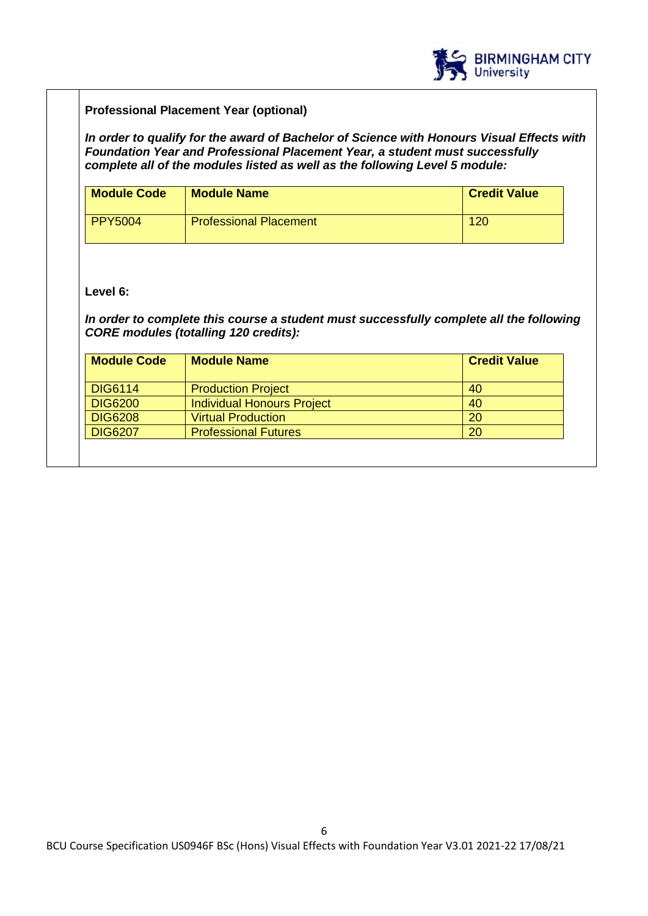

## **Professional Placement Year (optional)**

*In order to qualify for the award of Bachelor of Science with Honours Visual Effects with Foundation Year and Professional Placement Year, a student must successfully complete all of the modules listed as well as the following Level 5 module:*

| <b>Module Code</b> | <b>Module Name</b>            | <b>Credit Value</b> |
|--------------------|-------------------------------|---------------------|
| PPY5004            | <b>Professional Placement</b> | 120                 |

## **Level 6:**

*In order to complete this course a student must successfully complete all the following CORE modules (totalling 120 credits):*

| <b>Module Name</b>                | <b>Credit Value</b> |
|-----------------------------------|---------------------|
| <b>Production Project</b>         | 40                  |
| <b>Individual Honours Project</b> | 40                  |
| <b>Virtual Production</b>         | <b>20</b>           |
| <b>Professional Futures</b>       | 20                  |
|                                   |                     |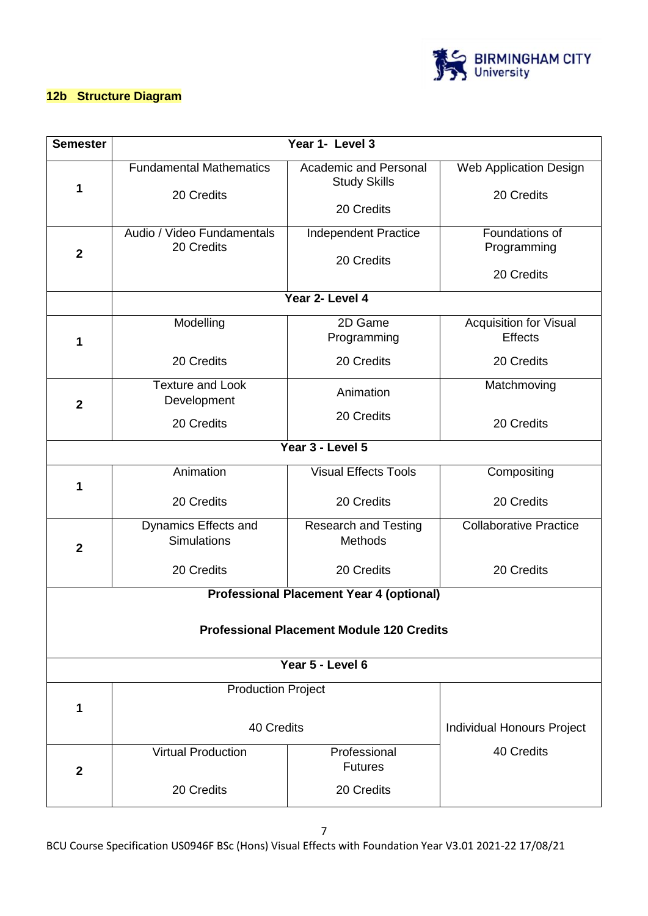

## **12b Structure Diagram**

| <b>Semester</b>                                  | Year 1- Level 3                              |                                                                   |                                                 |  |  |  |
|--------------------------------------------------|----------------------------------------------|-------------------------------------------------------------------|-------------------------------------------------|--|--|--|
| 1                                                | <b>Fundamental Mathematics</b><br>20 Credits | <b>Academic and Personal</b><br><b>Study Skills</b><br>20 Credits | <b>Web Application Design</b><br>20 Credits     |  |  |  |
| $\mathbf{2}$                                     | Audio / Video Fundamentals<br>20 Credits     | Independent Practice<br>20 Credits                                | Foundations of<br>Programming<br>20 Credits     |  |  |  |
|                                                  |                                              | Year 2- Level 4                                                   |                                                 |  |  |  |
| 1                                                | Modelling                                    | 2D Game<br>Programming                                            | <b>Acquisition for Visual</b><br><b>Effects</b> |  |  |  |
|                                                  | 20 Credits                                   | 20 Credits                                                        | 20 Credits                                      |  |  |  |
| $\mathbf{2}$                                     | <b>Texture and Look</b><br>Development       | Animation                                                         | Matchmoving                                     |  |  |  |
|                                                  | 20 Credits                                   | 20 Credits                                                        | 20 Credits                                      |  |  |  |
|                                                  |                                              | Year 3 - Level 5                                                  |                                                 |  |  |  |
| 1                                                | Animation                                    | <b>Visual Effects Tools</b>                                       | Compositing                                     |  |  |  |
|                                                  | 20 Credits                                   | 20 Credits                                                        | 20 Credits                                      |  |  |  |
| $\mathbf{2}$                                     | Dynamics Effects and<br>Simulations          | <b>Research and Testing</b><br><b>Methods</b>                     | <b>Collaborative Practice</b>                   |  |  |  |
|                                                  | 20 Credits                                   | 20 Credits                                                        | 20 Credits                                      |  |  |  |
|                                                  |                                              | <b>Professional Placement Year 4 (optional)</b>                   |                                                 |  |  |  |
| <b>Professional Placement Module 120 Credits</b> |                                              |                                                                   |                                                 |  |  |  |
| Year 5 - Level 6                                 |                                              |                                                                   |                                                 |  |  |  |
| 1                                                | <b>Production Project</b>                    |                                                                   |                                                 |  |  |  |
|                                                  | 40 Credits                                   | <b>Individual Honours Project</b>                                 |                                                 |  |  |  |
| $\mathbf{2}$                                     | <b>Virtual Production</b>                    | Professional<br><b>Futures</b>                                    | 40 Credits                                      |  |  |  |
|                                                  | 20 Credits                                   | 20 Credits                                                        |                                                 |  |  |  |

BCU Course Specification US0946F BSc (Hons) Visual Effects with Foundation Year V3.01 2021-22 17/08/21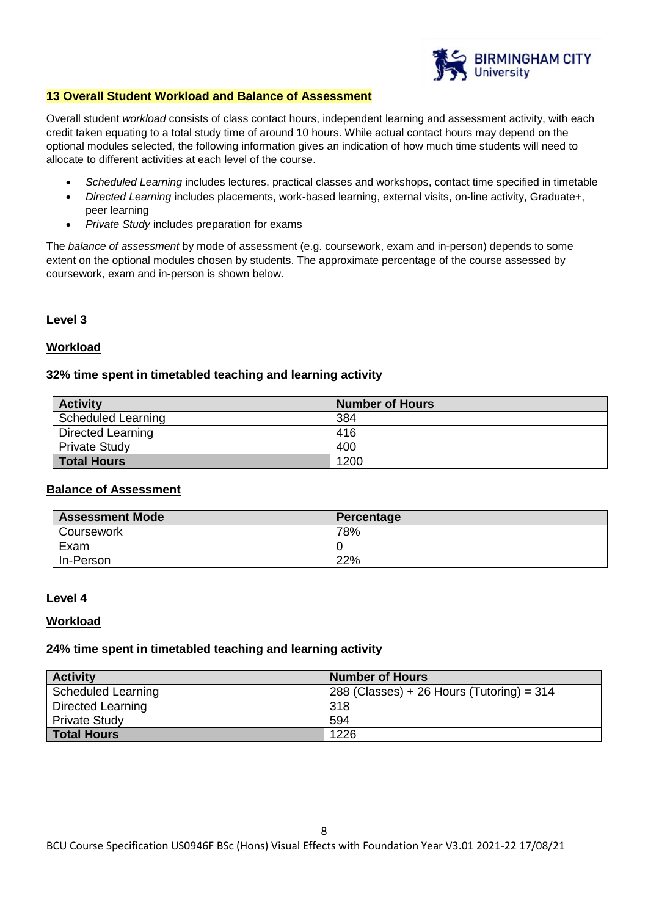

#### **13 Overall Student Workload and Balance of Assessment**

Overall student *workload* consists of class contact hours, independent learning and assessment activity, with each credit taken equating to a total study time of around 10 hours. While actual contact hours may depend on the optional modules selected, the following information gives an indication of how much time students will need to allocate to different activities at each level of the course.

- *Scheduled Learning* includes lectures, practical classes and workshops, contact time specified in timetable
- *Directed Learning* includes placements, work-based learning, external visits, on-line activity, Graduate+, peer learning
- *Private Study* includes preparation for exams

The *balance of assessment* by mode of assessment (e.g. coursework, exam and in-person) depends to some extent on the optional modules chosen by students. The approximate percentage of the course assessed by coursework, exam and in-person is shown below.

## **Level 3**

## **Workload**

## **32% time spent in timetabled teaching and learning activity**

| <b>Activity</b>           | <b>Number of Hours</b> |
|---------------------------|------------------------|
| <b>Scheduled Learning</b> | 384                    |
| Directed Learning         | 416                    |
| <b>Private Study</b>      | 400                    |
| <b>Total Hours</b>        | 1200                   |

## **Balance of Assessment**

| <b>Assessment Mode</b> | Percentage |
|------------------------|------------|
| Coursework             | 78%        |
| Exam                   |            |
| In-Person              | 22%        |

#### **Level 4**

#### **Workload**

#### **24% time spent in timetabled teaching and learning activity**

| <b>Activity</b>           | <b>Number of Hours</b>                      |
|---------------------------|---------------------------------------------|
| <b>Scheduled Learning</b> | 288 (Classes) + 26 Hours (Tutoring) = $314$ |
| Directed Learning         | 318                                         |
| <b>Private Study</b>      | 594                                         |
| <b>Total Hours</b>        | 1226                                        |